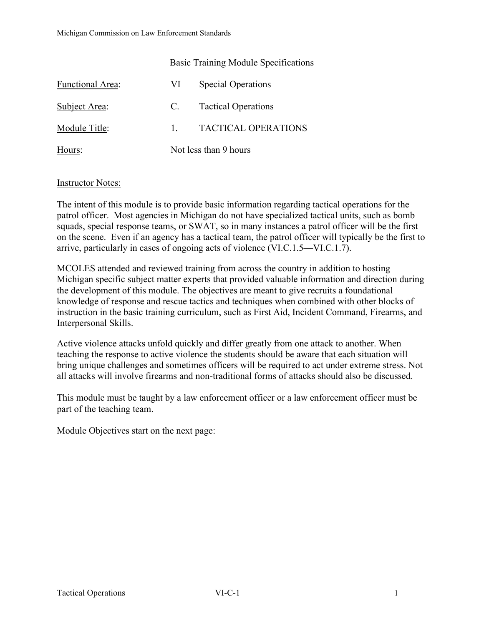|                         | Basic Training Module Specifications |                            |
|-------------------------|--------------------------------------|----------------------------|
| <b>Functional Area:</b> | VI                                   | <b>Special Operations</b>  |
| Subject Area:           | C.                                   | <b>Tactical Operations</b> |
| Module Title:           |                                      | <b>TACTICAL OPERATIONS</b> |
| Hours:                  | Not less than 9 hours                |                            |

# Instructor Notes:

The intent of this module is to provide basic information regarding tactical operations for the patrol officer. Most agencies in Michigan do not have specialized tactical units, such as bomb squads, special response teams, or SWAT, so in many instances a patrol officer will be the first on the scene. Even if an agency has a tactical team, the patrol officer will typically be the first to arrive, particularly in cases of ongoing acts of violence (VI.C.1.5—VI.C.1.7).

MCOLES attended and reviewed training from across the country in addition to hosting Michigan specific subject matter experts that provided valuable information and direction during the development of this module. The objectives are meant to give recruits a foundational knowledge of response and rescue tactics and techniques when combined with other blocks of instruction in the basic training curriculum, such as First Aid, Incident Command, Firearms, and Interpersonal Skills.

Active violence attacks unfold quickly and differ greatly from one attack to another. When teaching the response to active violence the students should be aware that each situation will bring unique challenges and sometimes officers will be required to act under extreme stress. Not all attacks will involve firearms and non-traditional forms of attacks should also be discussed.

This module must be taught by a law enforcement officer or a law enforcement officer must be part of the teaching team.

Module Objectives start on the next page: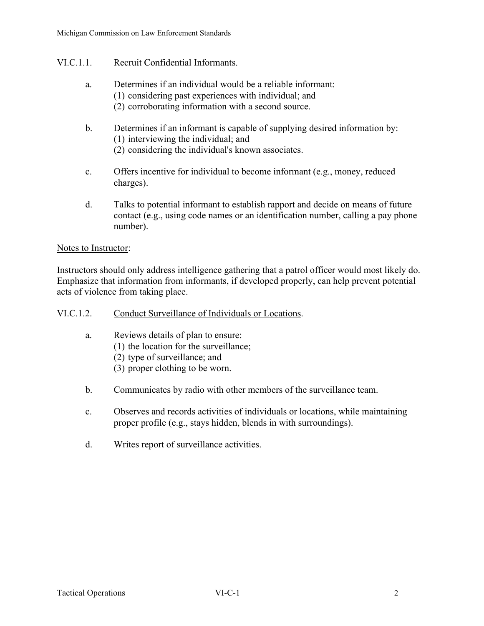# VI.C.1.1. Recruit Confidential Informants.

- a. Determines if an individual would be a reliable informant: (1) considering past experiences with individual; and (2) corroborating information with a second source.
- b. Determines if an informant is capable of supplying desired information by: (1) interviewing the individual; and
	- (2) considering the individual's known associates.
- c. Offers incentive for individual to become informant (e.g., money, reduced charges).
- d. Talks to potential informant to establish rapport and decide on means of future contact (e.g., using code names or an identification number, calling a pay phone number).

#### Notes to Instructor:

Instructors should only address intelligence gathering that a patrol officer would most likely do. Emphasize that information from informants, if developed properly, can help prevent potential acts of violence from taking place.

## VI.C.1.2. Conduct Surveillance of Individuals or Locations.

- a. Reviews details of plan to ensure:
	- (1) the location for the surveillance;
	- (2) type of surveillance; and
	- (3) proper clothing to be worn.
- b. Communicates by radio with other members of the surveillance team.
- c. Observes and records activities of individuals or locations, while maintaining proper profile (e.g., stays hidden, blends in with surroundings).
- d. Writes report of surveillance activities.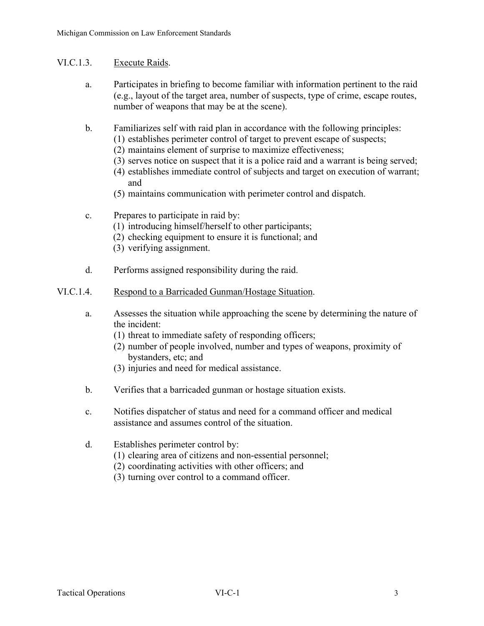# VI.C.1.3. Execute Raids.

- a. Participates in briefing to become familiar with information pertinent to the raid (e.g., layout of the target area, number of suspects, type of crime, escape routes, number of weapons that may be at the scene).
- b. Familiarizes self with raid plan in accordance with the following principles:
	- (1) establishes perimeter control of target to prevent escape of suspects;
	- (2) maintains element of surprise to maximize effectiveness;
	- (3) serves notice on suspect that it is a police raid and a warrant is being served;
	- (4) establishes immediate control of subjects and target on execution of warrant; and
	- (5) maintains communication with perimeter control and dispatch.
- c. Prepares to participate in raid by:
	- (1) introducing himself/herself to other participants;
	- (2) checking equipment to ensure it is functional; and
	- (3) verifying assignment.
- d. Performs assigned responsibility during the raid.

## VI.C.1.4. Respond to a Barricaded Gunman/Hostage Situation.

- a. Assesses the situation while approaching the scene by determining the nature of the incident:
	- (1) threat to immediate safety of responding officers;
	- (2) number of people involved, number and types of weapons, proximity of bystanders, etc; and
	- (3) injuries and need for medical assistance.
- b. Verifies that a barricaded gunman or hostage situation exists.
- c. Notifies dispatcher of status and need for a command officer and medical assistance and assumes control of the situation.
- d. Establishes perimeter control by:
	- (1) clearing area of citizens and non-essential personnel;
	- (2) coordinating activities with other officers; and
	- (3) turning over control to a command officer.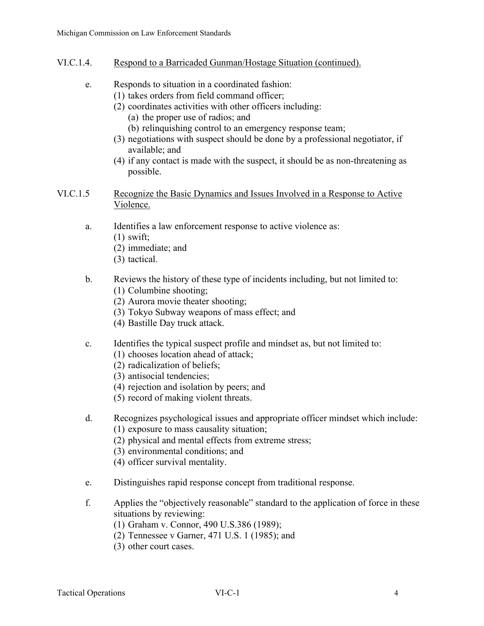- VI.C.1.4. Respond to a Barricaded Gunman/Hostage Situation (continued).
	- e. Responds to situation in a coordinated fashion:
		- (1) takes orders from field command officer;
			- (2) coordinates activities with other officers including:
				- (a) the proper use of radios; and
				- (b) relinquishing control to an emergency response team;
			- (3) negotiations with suspect should be done by a professional negotiator, if available; and
			- (4) if any contact is made with the suspect, it should be as non-threatening as possible.
- VI.C.1.5 Recognize the Basic Dynamics and Issues Involved in a Response to Active Violence.
	- a. Identifies a law enforcement response to active violence as:
		- $(1)$  swift:
		- (2) immediate; and
		- (3) tactical.
	- b. Reviews the history of these type of incidents including, but not limited to:
		- (1) Columbine shooting;
		- (2) Aurora movie theater shooting;
		- (3) Tokyo Subway weapons of mass effect; and
		- (4) Bastille Day truck attack.
	- c. Identifies the typical suspect profile and mindset as, but not limited to:
		- (1) chooses location ahead of attack;
		- (2) radicalization of beliefs;
		- (3) antisocial tendencies;
		- (4) rejection and isolation by peers; and
		- (5) record of making violent threats.
	- d. Recognizes psychological issues and appropriate officer mindset which include:
		- (1) exposure to mass causality situation;
		- (2) physical and mental effects from extreme stress;
		- (3) environmental conditions; and
		- (4) officer survival mentality.
	- e. Distinguishes rapid response concept from traditional response.
	- f. Applies the "objectively reasonable" standard to the application of force in these situations by reviewing:
		- (1) Graham v. Connor, 490 U.S.386 (1989);
		- (2) Tennessee v Garner, 471 U.S. 1 (1985); and
		- (3) other court cases.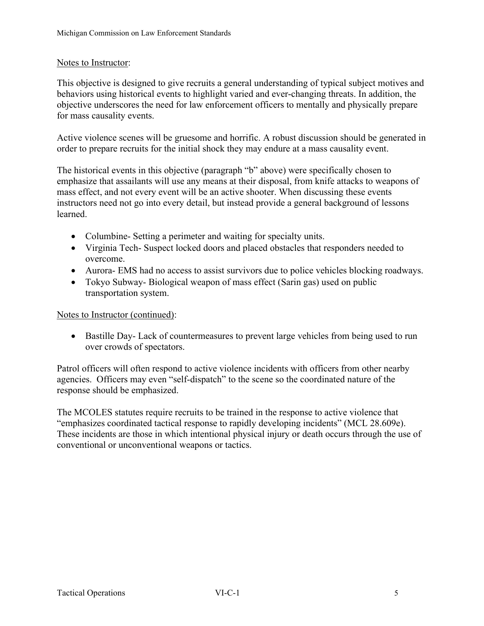## Notes to Instructor:

This objective is designed to give recruits a general understanding of typical subject motives and behaviors using historical events to highlight varied and ever-changing threats. In addition, the objective underscores the need for law enforcement officers to mentally and physically prepare for mass causality events.

Active violence scenes will be gruesome and horrific. A robust discussion should be generated in order to prepare recruits for the initial shock they may endure at a mass causality event.

The historical events in this objective (paragraph "b" above) were specifically chosen to emphasize that assailants will use any means at their disposal, from knife attacks to weapons of mass effect, and not every event will be an active shooter. When discussing these events instructors need not go into every detail, but instead provide a general background of lessons learned.

- Columbine- Setting a perimeter and waiting for specialty units.
- Virginia Tech- Suspect locked doors and placed obstacles that responders needed to overcome.
- Aurora- EMS had no access to assist survivors due to police vehicles blocking roadways.
- Tokyo Subway- Biological weapon of mass effect (Sarin gas) used on public transportation system.

Notes to Instructor (continued):

• Bastille Day-Lack of countermeasures to prevent large vehicles from being used to run over crowds of spectators.

Patrol officers will often respond to active violence incidents with officers from other nearby agencies. Officers may even "self-dispatch" to the scene so the coordinated nature of the response should be emphasized.

The MCOLES statutes require recruits to be trained in the response to active violence that "emphasizes coordinated tactical response to rapidly developing incidents" (MCL 28.609e). These incidents are those in which intentional physical injury or death occurs through the use of conventional or unconventional weapons or tactics.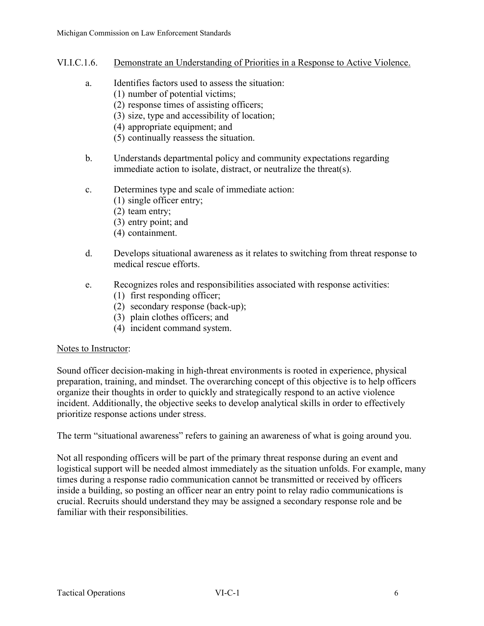- VI.I.C.1.6. Demonstrate an Understanding of Priorities in a Response to Active Violence.
	- a. Identifies factors used to assess the situation:
		- (1) number of potential victims;
			- (2) response times of assisting officers;
			- (3) size, type and accessibility of location;
			- (4) appropriate equipment; and
			- (5) continually reassess the situation.
	- b. Understands departmental policy and community expectations regarding immediate action to isolate, distract, or neutralize the threat(s).
	- c. Determines type and scale of immediate action:
		- (1) single officer entry;
		- (2) team entry;
		- (3) entry point; and
		- (4) containment.
	- d. Develops situational awareness as it relates to switching from threat response to medical rescue efforts.
	- e. Recognizes roles and responsibilities associated with response activities:
		- (1) first responding officer;
		- (2) secondary response (back-up);
		- (3) plain clothes officers; and
		- (4) incident command system.

## Notes to Instructor:

Sound officer decision-making in high-threat environments is rooted in experience, physical preparation, training, and mindset. The overarching concept of this objective is to help officers organize their thoughts in order to quickly and strategically respond to an active violence incident. Additionally, the objective seeks to develop analytical skills in order to effectively prioritize response actions under stress.

The term "situational awareness" refers to gaining an awareness of what is going around you.

Not all responding officers will be part of the primary threat response during an event and logistical support will be needed almost immediately as the situation unfolds. For example, many times during a response radio communication cannot be transmitted or received by officers inside a building, so posting an officer near an entry point to relay radio communications is crucial. Recruits should understand they may be assigned a secondary response role and be familiar with their responsibilities.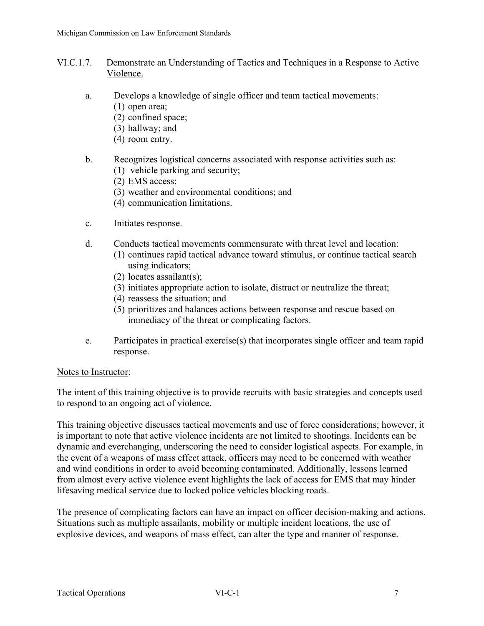# VI.C.1.7. Demonstrate an Understanding of Tactics and Techniques in a Response to Active Violence.

- a. Develops a knowledge of single officer and team tactical movements:
	- (1) open area;
	- (2) confined space;
	- (3) hallway; and
	- (4) room entry.
- b. Recognizes logistical concerns associated with response activities such as:
	- (1) vehicle parking and security;
	- (2) EMS access;
	- (3) weather and environmental conditions; and
	- (4) communication limitations.
- c. Initiates response.
- d. Conducts tactical movements commensurate with threat level and location:
	- (1) continues rapid tactical advance toward stimulus, or continue tactical search using indicators;
	- (2) locates assailant(s);
	- (3) initiates appropriate action to isolate, distract or neutralize the threat;
	- (4) reassess the situation; and
	- (5) prioritizes and balances actions between response and rescue based on immediacy of the threat or complicating factors.
- e. Participates in practical exercise(s) that incorporates single officer and team rapid response.

## Notes to Instructor:

The intent of this training objective is to provide recruits with basic strategies and concepts used to respond to an ongoing act of violence.

This training objective discusses tactical movements and use of force considerations; however, it is important to note that active violence incidents are not limited to shootings. Incidents can be dynamic and everchanging, underscoring the need to consider logistical aspects. For example, in the event of a weapons of mass effect attack, officers may need to be concerned with weather and wind conditions in order to avoid becoming contaminated. Additionally, lessons learned from almost every active violence event highlights the lack of access for EMS that may hinder lifesaving medical service due to locked police vehicles blocking roads.

The presence of complicating factors can have an impact on officer decision-making and actions. Situations such as multiple assailants, mobility or multiple incident locations, the use of explosive devices, and weapons of mass effect, can alter the type and manner of response.